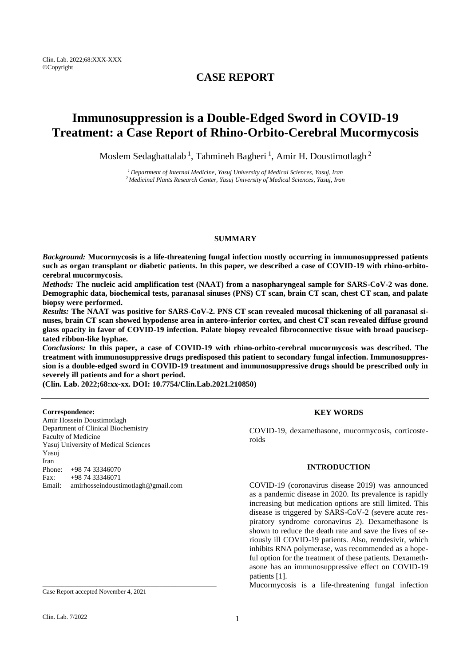## **CASE REPORT**

# **Immunosuppression is a Double-Edged Sword in COVID-19 Treatment: a Case Report of Rhino-Orbito-Cerebral Mucormycosis**

Moslem Sedaghattalab<sup>1</sup>, Tahmineh Bagheri<sup>1</sup>, Amir H. Doustimotlagh<sup>2</sup>

*<sup>1</sup>Department of Internal Medicine, Yasuj University of Medical Sciences, Yasuj, Iran <sup>2</sup>Medicinal Plants Research Center, Yasuj University of Medical Sciences, Yasuj, Iran*

#### **SUMMARY**

*Background:* **Mucormycosis is a life-threatening fungal infection mostly occurring in immunosuppressed patients such as organ transplant or diabetic patients. In this paper, we described a case of COVID-19 with rhino-orbitocerebral mucormycosis.**

*Methods:* **The nucleic acid amplification test (NAAT) from a nasopharyngeal sample for SARS-CoV-2 was done. Demographic data, biochemical tests, paranasal sinuses (PNS) CT scan, brain CT scan, chest CT scan, and palate biopsy were performed.**

*Results:* **The NAAT was positive for SARS-CoV-2. PNS CT scan revealed mucosal thickening of all paranasal sinuses, brain CT scan showed hypodense area in antero-inferior cortex, and chest CT scan revealed diffuse ground glass opacity in favor of COVID-19 infection. Palate biopsy revealed fibroconnective tissue with broad pauciseptated ribbon-like hyphae.**

*Conclusions:* **In this paper, a case of COVID-19 with rhino-orbito-cerebral mucormycosis was described. The treatment with immunosuppressive drugs predisposed this patient to secondary fungal infection. Immunosuppression is a double-edged sword in COVID-19 treatment and immunosuppressive drugs should be prescribed only in severely ill patients and for a short period.**

**(Clin. Lab. 2022;68:xx-xx. DOI: 10.7754/Clin.Lab.2021.210850)**

#### **Correspondence:**

Amir Hossein Doustimotlagh Department of Clinical Biochemistry Faculty of Medicine Yasuj University of Medical Sciences Yasuj Iran Phone: +98 74 33346070  $Fax: +987433346071$ Email: amirhosseindoustimotlagh@gmail.com

## **KEY WORDS**

COVID-19, dexamethasone, [mucormycosis,](https://www.ncbi.nlm.nih.gov/mesh/68007898) corticosteroids

#### **INTRODUCTION**

COVID-19 (coronavirus disease 2019) was announced as a pandemic disease in 2020. Its prevalence is rapidly increasing but medication options are still limited. This disease is triggered by SARS-CoV-2 (severe acute respiratory syndrome coronavirus 2). Dexamethasone is shown to reduce the death rate and save the lives of seriously ill COVID-19 patients. Also, remdesivir, which inhibits RNA polymerase, was recommended as a hopeful option for the treatment of these patients. Dexamethasone has an immunosuppressive effect on COVID-19 patients [1].

Mucormycosis is a life-threatening fungal infection

Case Report accepted November 4, 2021

\_\_\_\_\_\_\_\_\_\_\_\_\_\_\_\_\_\_\_\_\_\_\_\_\_\_\_\_\_\_\_\_\_\_\_\_\_\_\_\_\_\_\_\_\_\_\_\_\_\_\_\_\_\_\_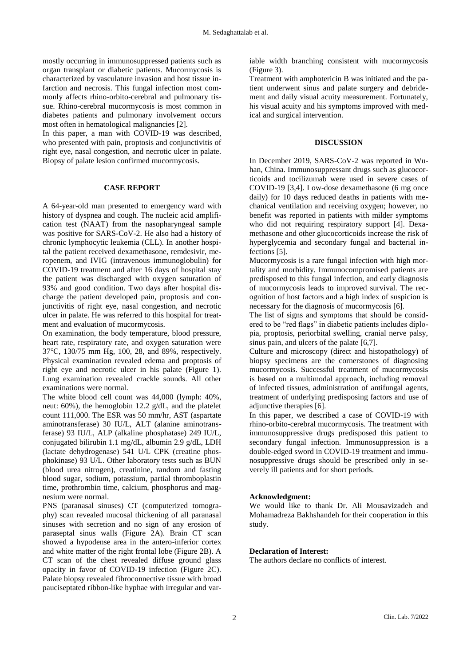mostly occurring in immunosuppressed patients such as organ transplant or diabetic patients. Mucormycosis is characterized by vasculature invasion and host tissue infarction and necrosis. This fungal infection most commonly affects rhino-orbito-cerebral and pulmonary tissue. Rhino-cerebral mucormycosis is most common in diabetes patients and pulmonary involvement occurs most often in hematological malignancies [2].

In this paper, a man with COVID-19 was described, who presented with pain, proptosis and conjunctivitis of right eye, nasal congestion, and necrotic ulcer in palate. Biopsy of palate lesion confirmed mucormycosis.

#### **CASE REPORT**

A 64-year-old man presented to emergency ward with history of dyspnea and cough. The nucleic acid amplification test (NAAT) from the nasopharyngeal sample was positive for SARS-CoV-2. He also had a history of chronic lymphocytic leukemia (CLL). In another hospital the patient received dexamethasone, remdesivir, meropenem, and IVIG (intravenous immunoglobulin) for COVID-19 treatment and after 16 days of hospital stay the patient was discharged with oxygen saturation of 93% and good condition. Two days after hospital discharge the patient developed pain, proptosis and conjunctivitis of right eye, nasal congestion, and necrotic ulcer in palate. He was referred to this hospital for treatment and evaluation of mucormycosis.

On examination, the body temperature, blood pressure, heart rate, respiratory rate, and oxygen saturation were 37℃, 130/75 mm Hg, 100, 28, and 89%, respectively. Physical examination revealed edema and proptosis of right eye and necrotic ulcer in his palate (Figure 1). Lung examination revealed crackle sounds. All other examinations were normal.

The white blood cell count was 44,000 (lymph: 40%, neut: 60%), the hemoglobin 12.2 g/dL, and the platelet count 111,000. The ESR was 50 mm/hr, AST (aspartate aminotransferase) 30 IU/L, ALT (alanine aminotransferase) 93 IU/L, ALP (alkaline phosphatase) 249 IU/L, conjugated bilirubin 1.1 mg/dL, albumin 2.9 g/dL, LDH (lactate dehydrogenase) 541 U/L CPK (creatine phosphokinase) 93 U/L. Other laboratory tests such as BUN (blood urea nitrogen), creatinine, random and fasting blood sugar, sodium, potassium, partial thromboplastin time, prothrombin time, calcium, phosphorus and magnesium were normal.

PNS (paranasal sinuses) CT (computerized tomography) scan revealed mucosal thickening of all paranasal sinuses with secretion and no sign of any erosion of paraseptal sinus walls (Figure 2A). Brain CT scan showed a hypodense area in the antero-inferior cortex and white matter of the right frontal lobe (Figure 2B). A CT scan of the chest revealed diffuse ground glass opacity in favor of COVID-19 infection (Figure 2C). Palate biopsy revealed fibroconnective tissue with broad pauciseptated ribbon-like hyphae with irregular and variable width branching consistent with mucormycosis (Figure 3).

Treatment with amphotericin B was initiated and the patient underwent sinus and palate surgery and debridement and daily visual acuity measurement. Fortunately, his visual acuity and his symptoms improved with medical and surgical intervention.

## **DISCUSSION**

In December 2019, SARS-CoV-2 was reported in Wuhan, China. Immunosuppressant drugs such as glucocorticoids and tocilizumab were used in severe cases of COVID-19 [3,4]. Low-dose dexamethasone (6 mg once daily) for 10 days reduced deaths in patients with mechanical ventilation and receiving oxygen; however, no benefit was reported in patients with milder symptoms who did not requiring respiratory support [4]. Dexamethasone and other glucocorticoids increase the risk of hyperglycemia and secondary fungal and bacterial infections [5].

Mucormycosis is a rare fungal infection with high mortality and morbidity. Immunocompromised patients are predisposed to this fungal infection, and early diagnosis of mucormycosis leads to improved survival. The recognition of host factors and a high index of suspicion is necessary for the diagnosis of mucormycosis [6].

The list of signs and symptoms that should be considered to be "red flags" in diabetic patients includes diplopia, proptosis, periorbital swelling, cranial nerve palsy, sinus pain, and ulcers of the palate [6,7].

Culture and microscopy (direct and histopathology) of biopsy specimens are the cornerstones of diagnosing mucormycosis. Successful treatment of mucormycosis is based on a multimodal approach, including removal of infected tissues, administration of antifungal agents, treatment of underlying predisposing factors and use of adjunctive therapies [6].

In this paper, we described a case of COVID-19 with rhino-orbito-cerebral mucormycosis. The treatment with immunosuppressive drugs predisposed this patient to secondary fungal infection. Immunosuppression is a double-edged sword in COVID-19 treatment and immunosuppressive drugs should be prescribed only in severely ill patients and for short periods.

## **Acknowledgment:**

We would like to thank Dr. Ali Mousavizadeh and Mohamadreza Bakhshandeh for their cooperation in this study.

## **Declaration of Interest:**

The authors declare no conflicts of interest.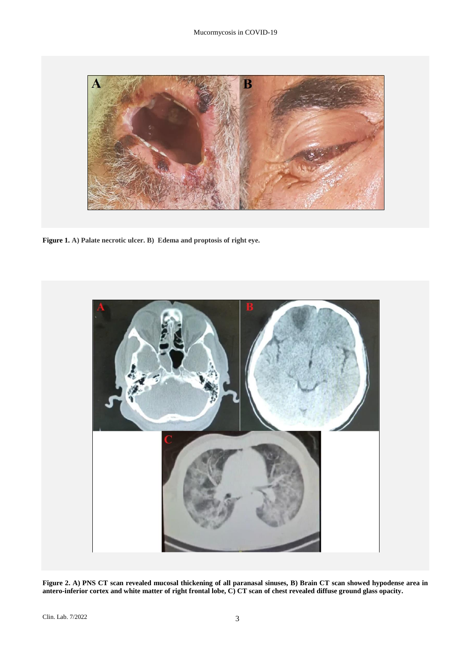

**Figure 1. A) Palate necrotic ulcer. B) Edema and proptosis of right eye.**



**Figure 2. A) PNS CT scan revealed mucosal thickening of all paranasal sinuses, B) Brain CT scan showed hypodense area in antero-inferior cortex and white matter of right frontal lobe, C) CT scan of chest revealed diffuse ground glass opacity.**